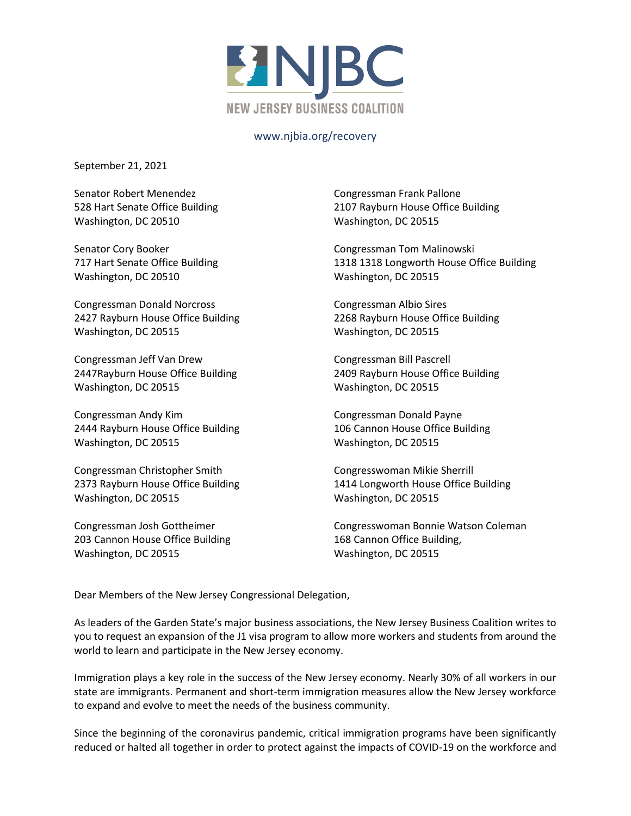

## www.njbia.org/recovery

September 21, 2021

Senator Robert Menendez 528 Hart Senate Office Building Washington, DC 20510

Senator Cory Booker 717 Hart Senate Office Building Washington, DC 20510

Congressman Donald Norcross 2427 Rayburn House Office Building Washington, DC 20515

Congressman Jeff Van Drew 2447Rayburn House Office Building Washington, DC 20515

Congressman Andy Kim 2444 Rayburn House Office Building Washington, DC 20515

Congressman Christopher Smith 2373 Rayburn House Office Building Washington, DC 20515

Congressman Josh Gottheimer 203 Cannon House Office Building Washington, DC 20515

Congressman Frank Pallone 2107 Rayburn House Office Building Washington, DC 20515

Congressman Tom Malinowski 1318 1318 Longworth House Office Building Washington, DC 20515

Congressman Albio Sires 2268 Rayburn House Office Building Washington, DC 20515

Congressman Bill Pascrell 2409 Rayburn House Office Building Washington, DC 20515

Congressman Donald Payne 106 Cannon House Office Building Washington, DC 20515

Congresswoman Mikie Sherrill 1414 Longworth House Office Building Washington, DC 20515

Congresswoman Bonnie Watson Coleman 168 Cannon Office Building, Washington, DC 20515

Dear Members of the New Jersey Congressional Delegation,

As leaders of the Garden State's major business associations, the New Jersey Business Coalition writes to you to request an expansion of the J1 visa program to allow more workers and students from around the world to learn and participate in the New Jersey economy.

Immigration plays a key role in the success of the New Jersey economy. Nearly 30% of all workers in our state are immigrants. Permanent and short-term immigration measures allow the New Jersey workforce to expand and evolve to meet the needs of the business community.

Since the beginning of the coronavirus pandemic, critical immigration programs have been significantly reduced or halted all together in order to protect against the impacts of COVID-19 on the workforce and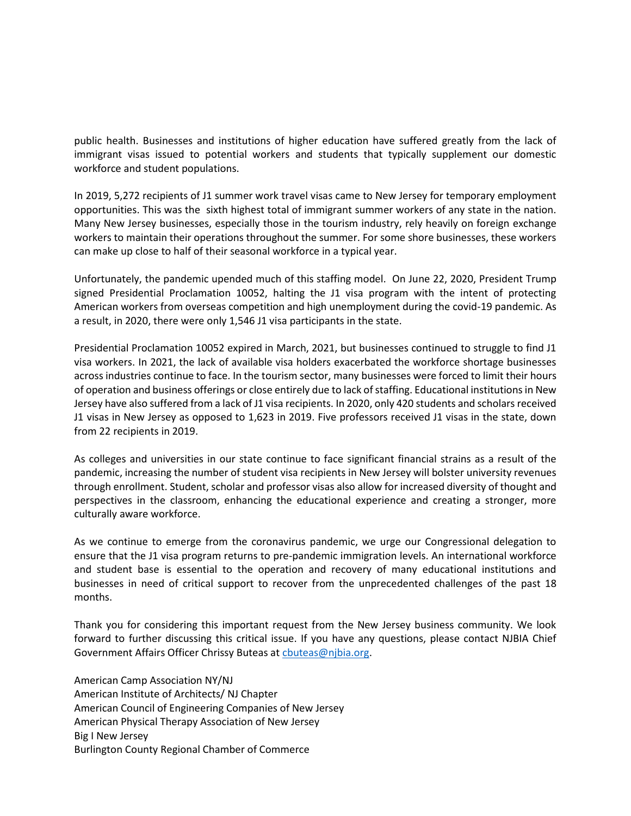public health. Businesses and institutions of higher education have suffered greatly from the lack of immigrant visas issued to potential workers and students that typically supplement our domestic workforce and student populations.

In 2019, 5,272 recipients of J1 summer work travel visas came to New Jersey for temporary employment opportunities. This was the sixth highest total of immigrant summer workers of any state in the nation. Many New Jersey businesses, especially those in the tourism industry, rely heavily on foreign exchange workers to maintain their operations throughout the summer. For some shore businesses, these workers can make up close to half of their seasonal workforce in a typical year.

Unfortunately, the pandemic upended much of this staffing model. On June 22, 2020, President Trump signed Presidential Proclamation 10052, halting the J1 visa program with the intent of protecting American workers from overseas competition and high unemployment during the covid-19 pandemic. As a result, in 2020, there were only 1,546 J1 visa participants in the state.

Presidential Proclamation 10052 expired in March, 2021, but businesses continued to struggle to find J1 visa workers. In 2021, the lack of available visa holders exacerbated the workforce shortage businesses across industries continue to face. In the tourism sector, many businesses were forced to limit their hours of operation and business offerings or close entirely due to lack of staffing. Educational institutions in New Jersey have also suffered from a lack of J1 visa recipients. In 2020, only 420 students and scholars received J1 visas in New Jersey as opposed to 1,623 in 2019. Five professors received J1 visas in the state, down from 22 recipients in 2019.

As colleges and universities in our state continue to face significant financial strains as a result of the pandemic, increasing the number of student visa recipients in New Jersey will bolster university revenues through enrollment. Student, scholar and professor visas also allow for increased diversity of thought and perspectives in the classroom, enhancing the educational experience and creating a stronger, more culturally aware workforce.

As we continue to emerge from the coronavirus pandemic, we urge our Congressional delegation to ensure that the J1 visa program returns to pre-pandemic immigration levels. An international workforce and student base is essential to the operation and recovery of many educational institutions and businesses in need of critical support to recover from the unprecedented challenges of the past 18 months.

Thank you for considering this important request from the New Jersey business community. We look forward to further discussing this critical issue. If you have any questions, please contact NJBIA Chief Government Affairs Officer Chrissy Buteas at [cbuteas@njbia.org.](mailto:cbuteas@njbia.org)

American Camp Association NY/NJ American Institute of Architects/ NJ Chapter American Council of Engineering Companies of New Jersey American Physical Therapy Association of New Jersey Big I New Jersey Burlington County Regional Chamber of Commerce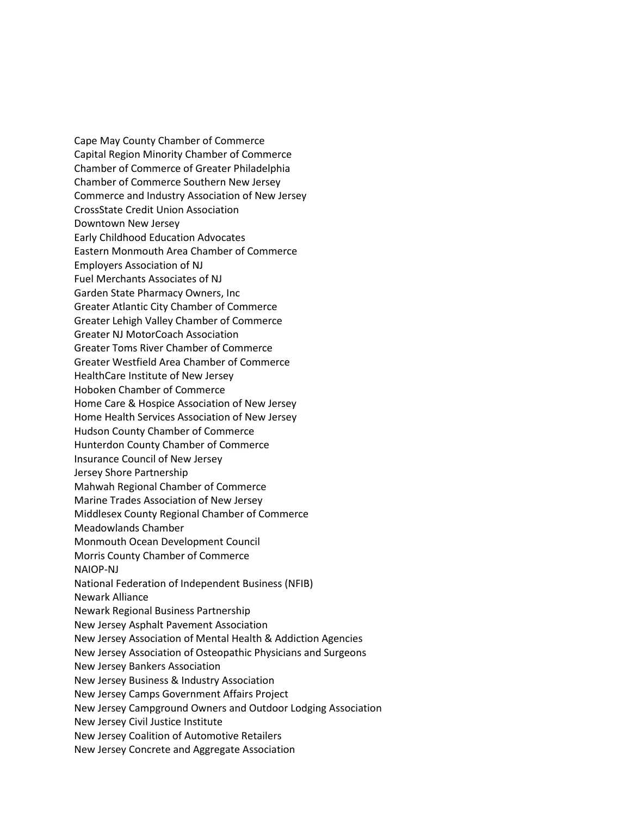Cape May County Chamber of Commerce Capital Region Minority Chamber of Commerce Chamber of Commerce of Greater Philadelphia Chamber of Commerce Southern New Jersey Commerce and Industry Association of New Jersey CrossState Credit Union Association Downtown New Jersey Early Childhood Education Advocates Eastern Monmouth Area Chamber of Commerce Employers Association of NJ Fuel Merchants Associates of NJ Garden State Pharmacy Owners, Inc Greater Atlantic City Chamber of Commerce Greater Lehigh Valley Chamber of Commerce Greater NJ MotorCoach Association Greater Toms River Chamber of Commerce Greater Westfield Area Chamber of Commerce HealthCare Institute of New Jersey Hoboken Chamber of Commerce Home Care & Hospice Association of New Jersey Home Health Services Association of New Jersey Hudson County Chamber of Commerce Hunterdon County Chamber of Commerce Insurance Council of New Jersey Jersey Shore Partnership Mahwah Regional Chamber of Commerce Marine Trades Association of New Jersey Middlesex County Regional Chamber of Commerce Meadowlands Chamber Monmouth Ocean Development Council Morris County Chamber of Commerce NAIOP-NJ National Federation of Independent Business (NFIB) Newark Alliance Newark Regional Business Partnership New Jersey Asphalt Pavement Association New Jersey Association of Mental Health & Addiction Agencies New Jersey Association of Osteopathic Physicians and Surgeons New Jersey Bankers Association New Jersey Business & Industry Association New Jersey Camps Government Affairs Project New Jersey Campground Owners and Outdoor Lodging Association New Jersey Civil Justice Institute New Jersey Coalition of Automotive Retailers New Jersey Concrete and Aggregate Association